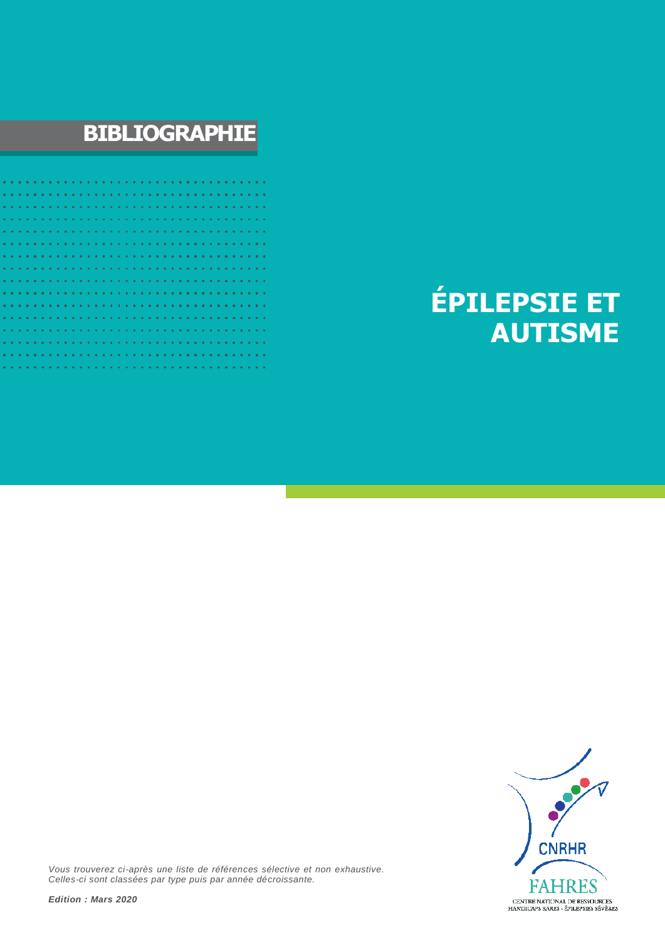# **BIBLIOGRAPHIE**



# **ÉPILEPSIE ET AUTISME**



1 *Celles-ci sont classées par type puis par année décroissante. Vous trouverez ci-après une liste de références sélective et non exhaustive.*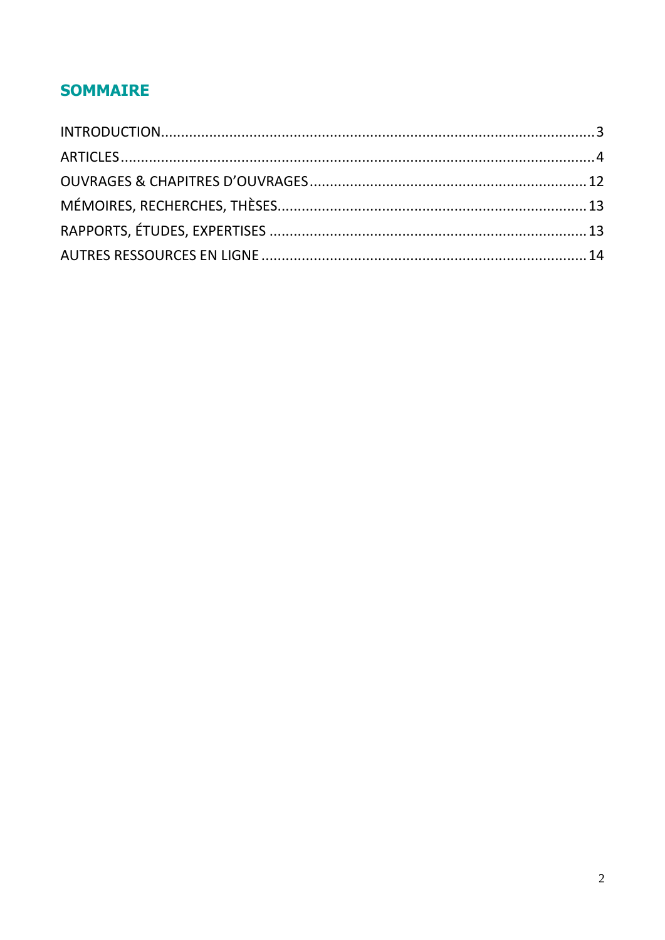### **SOMMAIRE**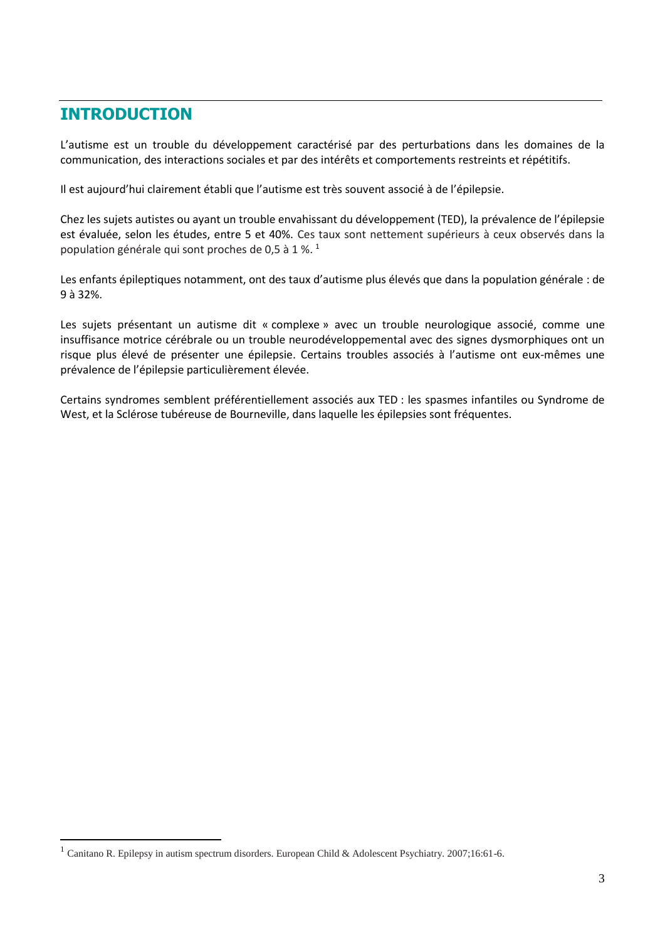### <span id="page-2-0"></span>**INTRODUCTION**

-

L'autisme est un trouble du développement caractérisé par des perturbations dans les domaines de la communication, des interactions sociales et par des intérêts et comportements restreints et répétitifs.

Il est aujourd'hui clairement établi que l'autisme est très souvent associé à de l'épilepsie.

Chez les sujets autistes ou ayant un trouble envahissant du développement (TED), la prévalence de l'épilepsie est évaluée, selon les études, entre 5 et 40%. Ces taux sont nettement supérieurs à ceux observés dans la population générale qui sont proches de 0,5 à 1 %. <sup>1</sup>

Les enfants épileptiques notamment, ont des taux d'autisme plus élevés que dans la population générale : de 9 à 32%.

Les sujets présentant un autisme dit « complexe » avec un trouble neurologique associé, comme une insuffisance motrice cérébrale ou un trouble neurodéveloppemental avec des signes dysmorphiques ont un risque plus élevé de présenter une épilepsie. Certains troubles associés à l'autisme ont eux-mêmes une prévalence de l'épilepsie particulièrement élevée.

Certains syndromes semblent préférentiellement associés aux TED : les spasmes infantiles ou Syndrome de West, et la Sclérose tubéreuse de Bourneville, dans laquelle les épilepsies sont fréquentes.

<sup>&</sup>lt;sup>1</sup> Canitano R. Epilepsy in autism spectrum disorders. European Child & Adolescent Psychiatry. 2007;16:61-6.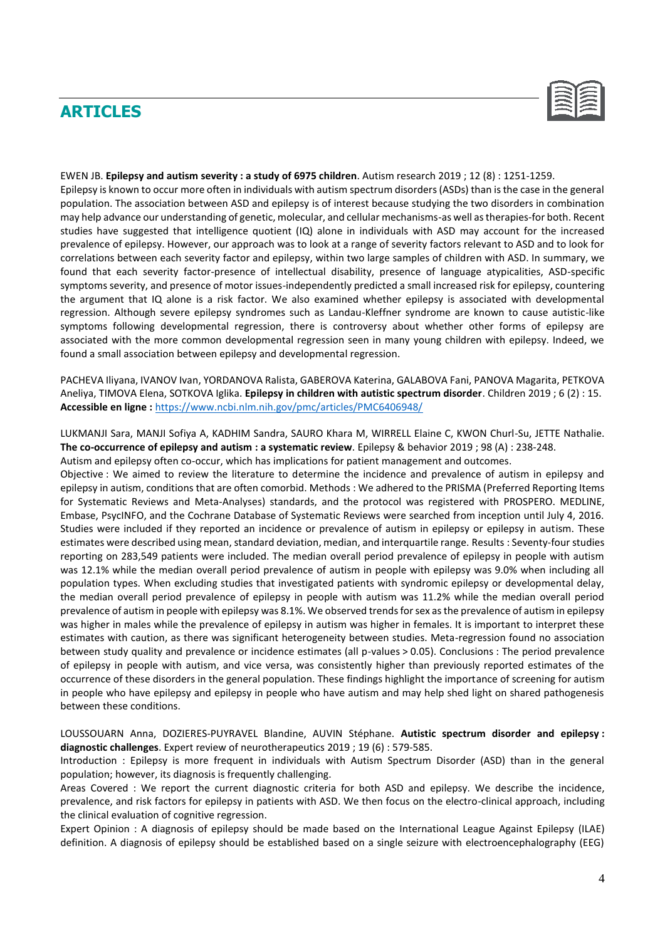### <span id="page-3-0"></span>**ARTICLES**



#### EWEN JB. **Epilepsy and autism severity : a study of 6975 children**. Autism research 2019 ; 12 (8) : 1251-1259.

Epilepsy is known to occur more often in individuals with autism spectrum disorders (ASDs) than is the case in the general population. The association between ASD and epilepsy is of interest because studying the two disorders in combination may help advance our understanding of genetic, molecular, and cellular mechanisms-as well as therapies-for both. Recent studies have suggested that intelligence quotient (IQ) alone in individuals with ASD may account for the increased prevalence of epilepsy. However, our approach was to look at a range of severity factors relevant to ASD and to look for correlations between each severity factor and epilepsy, within two large samples of children with ASD. In summary, we found that each severity factor-presence of intellectual disability, presence of language atypicalities, ASD-specific symptoms severity, and presence of motor issues-independently predicted a small increased risk for epilepsy, countering the argument that IQ alone is a risk factor. We also examined whether epilepsy is associated with developmental regression. Although severe epilepsy syndromes such as Landau-Kleffner syndrome are known to cause autistic-like symptoms following developmental regression, there is controversy about whether other forms of epilepsy are associated with the more common developmental regression seen in many young children with epilepsy. Indeed, we found a small association between epilepsy and developmental regression.

PACHEVA Iliyana, IVANOV Ivan, YORDANOVA Ralista, GABEROVA Katerina, GALABOVA Fani, PANOVA Magarita, PETKOVA Aneliya, TIMOVA Elena, SOTKOVA Iglika. **Epilepsy in children with autistic spectrum disorder**. Children 2019 ; 6 (2) : 15. **Accessible en ligne :** <https://www.ncbi.nlm.nih.gov/pmc/articles/PMC6406948/>

LUKMANJI Sara, MANJI Sofiya A, KADHIM Sandra, SAURO Khara M, WIRRELL Elaine C, KWON Churl-Su, JETTE Nathalie. **The co-occurrence of epilepsy and autism : a systematic review**. Epilepsy & behavior 2019 ; 98 (A) : 238-248. Autism and epilepsy often co-occur, which has implications for patient management and outcomes.

Objective : We aimed to review the literature to determine the incidence and prevalence of autism in epilepsy and epilepsy in autism, conditions that are often comorbid. Methods : We adhered to the PRISMA (Preferred Reporting Items for Systematic Reviews and Meta-Analyses) standards, and the protocol was registered with PROSPERO. MEDLINE, Embase, PsycINFO, and the Cochrane Database of Systematic Reviews were searched from inception until July 4, 2016. Studies were included if they reported an incidence or prevalence of autism in epilepsy or epilepsy in autism. These estimates were described using mean, standard deviation, median, and interquartile range. Results : Seventy-four studies reporting on 283,549 patients were included. The median overall period prevalence of epilepsy in people with autism was 12.1% while the median overall period prevalence of autism in people with epilepsy was 9.0% when including all population types. When excluding studies that investigated patients with syndromic epilepsy or developmental delay, the median overall period prevalence of epilepsy in people with autism was 11.2% while the median overall period prevalence of autism in people with epilepsy was 8.1%. We observed trends for sex as the prevalence of autism in epilepsy was higher in males while the prevalence of epilepsy in autism was higher in females. It is important to interpret these estimates with caution, as there was significant heterogeneity between studies. Meta-regression found no association between study quality and prevalence or incidence estimates (all p-values > 0.05). Conclusions : The period prevalence of epilepsy in people with autism, and vice versa, was consistently higher than previously reported estimates of the occurrence of these disorders in the general population. These findings highlight the importance of screening for autism in people who have epilepsy and epilepsy in people who have autism and may help shed light on shared pathogenesis between these conditions.

LOUSSOUARN Anna, DOZIERES-PUYRAVEL Blandine, AUVIN Stéphane. **Autistic spectrum disorder and epilepsy : diagnostic challenges**. Expert review of neurotherapeutics 2019 ; 19 (6) : 579-585.

Introduction : Epilepsy is more frequent in individuals with Autism Spectrum Disorder (ASD) than in the general population; however, its diagnosis is frequently challenging.

Areas Covered : We report the current diagnostic criteria for both ASD and epilepsy. We describe the incidence, prevalence, and risk factors for epilepsy in patients with ASD. We then focus on the electro-clinical approach, including the clinical evaluation of cognitive regression.

Expert Opinion : A diagnosis of epilepsy should be made based on the International League Against Epilepsy (ILAE) definition. A diagnosis of epilepsy should be established based on a single seizure with electroencephalography (EEG)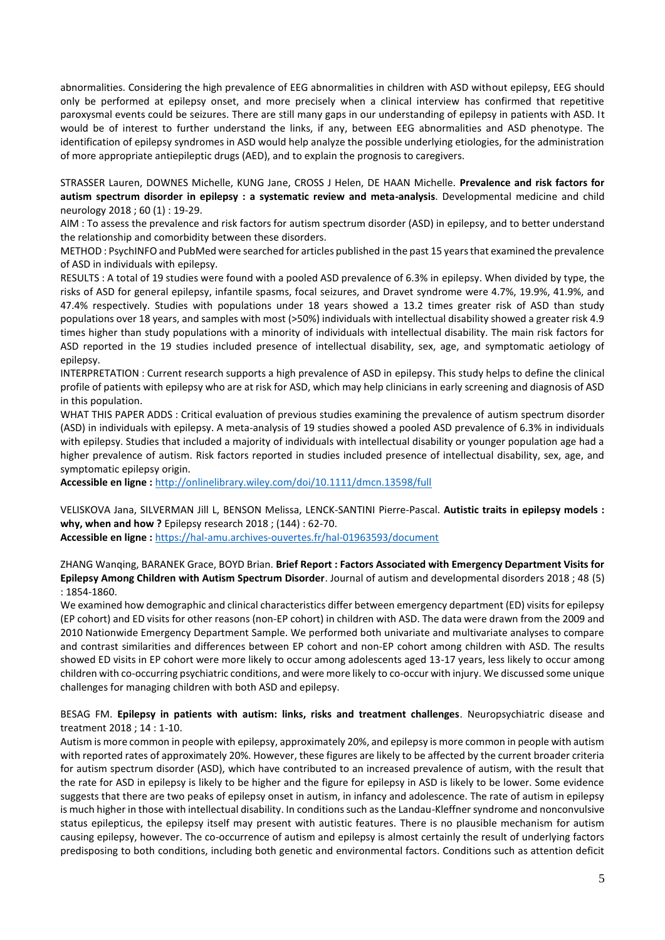abnormalities. Considering the high prevalence of EEG abnormalities in children with ASD without epilepsy, EEG should only be performed at epilepsy onset, and more precisely when a clinical interview has confirmed that repetitive paroxysmal events could be seizures. There are still many gaps in our understanding of epilepsy in patients with ASD. It would be of interest to further understand the links, if any, between EEG abnormalities and ASD phenotype. The identification of epilepsy syndromes in ASD would help analyze the possible underlying etiologies, for the administration of more appropriate antiepileptic drugs (AED), and to explain the prognosis to caregivers.

STRASSER Lauren, DOWNES Michelle, KUNG Jane, CROSS J Helen, DE HAAN Michelle. **Prevalence and risk factors for autism spectrum disorder in epilepsy : a systematic review and meta-analysis**. Developmental medicine and child neurology 2018 ; 60 (1) : 19-29.

AIM : To assess the prevalence and risk factors for autism spectrum disorder (ASD) in epilepsy, and to better understand the relationship and comorbidity between these disorders.

METHOD : PsychINFO and PubMed were searched for articles published in the past 15 years that examined the prevalence of ASD in individuals with epilepsy.

RESULTS : A total of 19 studies were found with a pooled ASD prevalence of 6.3% in epilepsy. When divided by type, the risks of ASD for general epilepsy, infantile spasms, focal seizures, and Dravet syndrome were 4.7%, 19.9%, 41.9%, and 47.4% respectively. Studies with populations under 18 years showed a 13.2 times greater risk of ASD than study populations over 18 years, and samples with most (>50%) individuals with intellectual disability showed a greater risk 4.9 times higher than study populations with a minority of individuals with intellectual disability. The main risk factors for ASD reported in the 19 studies included presence of intellectual disability, sex, age, and symptomatic aetiology of epilepsy.

INTERPRETATION : Current research supports a high prevalence of ASD in epilepsy. This study helps to define the clinical profile of patients with epilepsy who are at risk for ASD, which may help clinicians in early screening and diagnosis of ASD in this population.

WHAT THIS PAPER ADDS : Critical evaluation of previous studies examining the prevalence of autism spectrum disorder (ASD) in individuals with epilepsy. A meta-analysis of 19 studies showed a pooled ASD prevalence of 6.3% in individuals with epilepsy. Studies that included a majority of individuals with intellectual disability or younger population age had a higher prevalence of autism. Risk factors reported in studies included presence of intellectual disability, sex, age, and symptomatic epilepsy origin.

**Accessible en ligne :** <http://onlinelibrary.wiley.com/doi/10.1111/dmcn.13598/full>

VELISKOVA Jana, SILVERMAN Jill L, BENSON Melissa, LENCK-SANTINI Pierre-Pascal. **Autistic traits in epilepsy models : why, when and how ?** Epilepsy research 2018 ; (144) : 62-70.

**Accessible en ligne :** <https://hal-amu.archives-ouvertes.fr/hal-01963593/document>

ZHANG Wanqing, BARANEK Grace, BOYD Brian. **Brief Report : Factors Associated with Emergency Department Visits for Epilepsy Among Children with Autism Spectrum Disorder**. Journal of autism and developmental disorders 2018 ; 48 (5) : 1854-1860.

We examined how demographic and clinical characteristics differ between emergency department (ED) visits for epilepsy (EP cohort) and ED visits for other reasons (non-EP cohort) in children with ASD. The data were drawn from the 2009 and 2010 Nationwide Emergency Department Sample. We performed both univariate and multivariate analyses to compare and contrast similarities and differences between EP cohort and non-EP cohort among children with ASD. The results showed ED visits in EP cohort were more likely to occur among adolescents aged 13-17 years, less likely to occur among children with co-occurring psychiatric conditions, and were more likely to co-occur with injury. We discussed some unique challenges for managing children with both ASD and epilepsy.

BESAG FM. **Epilepsy in patients with autism: links, risks and treatment challenges**. Neuropsychiatric disease and treatment 2018 ; 14 : 1-10.

Autism is more common in people with epilepsy, approximately 20%, and epilepsy is more common in people with autism with reported rates of approximately 20%. However, these figures are likely to be affected by the current broader criteria for autism spectrum disorder (ASD), which have contributed to an increased prevalence of autism, with the result that the rate for ASD in epilepsy is likely to be higher and the figure for epilepsy in ASD is likely to be lower. Some evidence suggests that there are two peaks of epilepsy onset in autism, in infancy and adolescence. The rate of autism in epilepsy is much higher in those with intellectual disability. In conditions such as the Landau-Kleffner syndrome and nonconvulsive status epilepticus, the epilepsy itself may present with autistic features. There is no plausible mechanism for autism causing epilepsy, however. The co-occurrence of autism and epilepsy is almost certainly the result of underlying factors predisposing to both conditions, including both genetic and environmental factors. Conditions such as attention deficit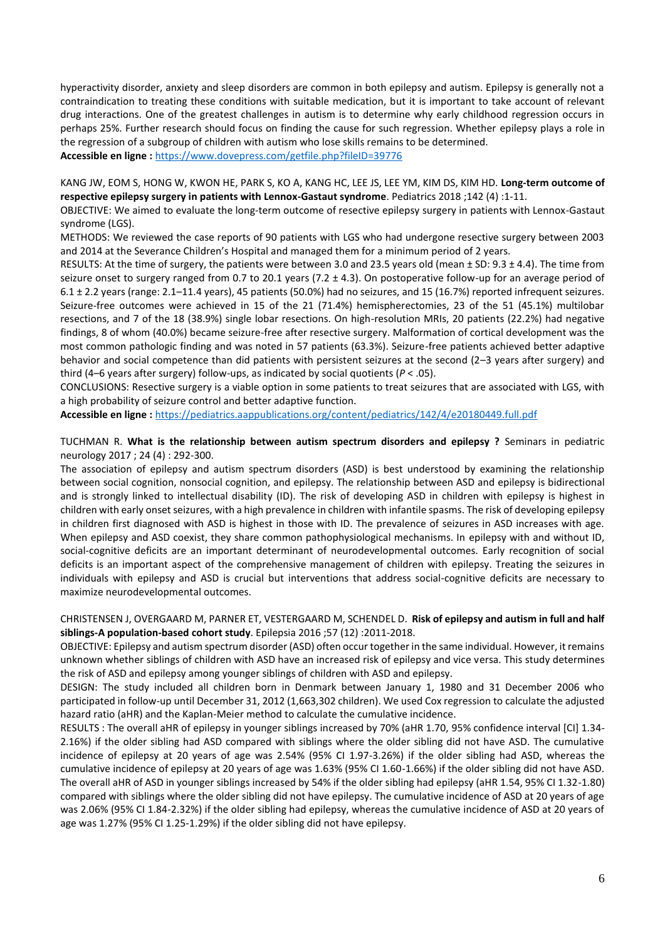hyperactivity disorder, anxiety and sleep disorders are common in both epilepsy and autism. Epilepsy is generally not a contraindication to treating these conditions with suitable medication, but it is important to take account of relevant drug interactions. One of the greatest challenges in autism is to determine why early childhood regression occurs in perhaps 25%. Further research should focus on finding the cause for such regression. Whether epilepsy plays a role in the regression of a subgroup of children with autism who lose skills remains to be determined. **Accessible en ligne :** <https://www.dovepress.com/getfile.php?fileID=39776>

KANG JW, EOM S, HONG W, KWON HE, PARK S, KO A, KANG HC, LEE JS, LEE YM, KIM DS, KIM HD. **Long-term outcome of respective epilepsy surgery in patients with Lennox-Gastaut syndrome**. Pediatrics 2018 ;142 (4) :1-11.

OBJECTIVE: We aimed to evaluate the long-term outcome of resective epilepsy surgery in patients with Lennox-Gastaut syndrome (LGS).

METHODS: We reviewed the case reports of 90 patients with LGS who had undergone resective surgery between 2003 and 2014 at the Severance Children's Hospital and managed them for a minimum period of 2 years.

RESULTS: At the time of surgery, the patients were between 3.0 and 23.5 years old (mean  $\pm$  SD: 9.3  $\pm$  4.4). The time from seizure onset to surgery ranged from 0.7 to 20.1 years (7.2  $\pm$  4.3). On postoperative follow-up for an average period of 6.1 ± 2.2 years (range: 2.1–11.4 years), 45 patients (50.0%) had no seizures, and 15 (16.7%) reported infrequent seizures. Seizure-free outcomes were achieved in 15 of the 21 (71.4%) hemispherectomies, 23 of the 51 (45.1%) multilobar resections, and 7 of the 18 (38.9%) single lobar resections. On high-resolution MRIs, 20 patients (22.2%) had negative findings, 8 of whom (40.0%) became seizure-free after resective surgery. Malformation of cortical development was the most common pathologic finding and was noted in 57 patients (63.3%). Seizure-free patients achieved better adaptive behavior and social competence than did patients with persistent seizures at the second (2–3 years after surgery) and third (4–6 years after surgery) follow-ups, as indicated by social quotients (*P* < .05).

CONCLUSIONS: Resective surgery is a viable option in some patients to treat seizures that are associated with LGS, with a high probability of seizure control and better adaptive function.

**Accessible en ligne :** <https://pediatrics.aappublications.org/content/pediatrics/142/4/e20180449.full.pdf>

TUCHMAN R. **What is the relationship between autism spectrum disorders and epilepsy ?** Seminars in pediatric neurology 2017 ; 24 (4) : 292-300.

The association of epilepsy and autism spectrum disorders (ASD) is best understood by examining the relationship between social cognition, nonsocial cognition, and epilepsy. The relationship between ASD and epilepsy is bidirectional and is strongly linked to intellectual disability (ID). The risk of developing ASD in children with epilepsy is highest in children with early onset seizures, with a high prevalence in children with infantile spasms. The risk of developing epilepsy in children first diagnosed with ASD is highest in those with ID. The prevalence of seizures in ASD increases with age. When epilepsy and ASD coexist, they share common pathophysiological mechanisms. In epilepsy with and without ID, social-cognitive deficits are an important determinant of neurodevelopmental outcomes. Early recognition of social deficits is an important aspect of the comprehensive management of children with epilepsy. Treating the seizures in individuals with epilepsy and ASD is crucial but interventions that address social-cognitive deficits are necessary to maximize neurodevelopmental outcomes.

CHRISTENSEN J, OVERGAARD M, PARNER ET, VESTERGAARD M, SCHENDEL D. **Risk of epilepsy and autism in full and half siblings-A population-based cohort study**. Epilepsia 2016 ;57 (12) :2011-2018.

OBJECTIVE: Epilepsy and autism spectrum disorder (ASD) often occur together in the same individual. However, it remains unknown whether siblings of children with ASD have an increased risk of epilepsy and vice versa. This study determines the risk of ASD and epilepsy among younger siblings of children with ASD and epilepsy.

DESIGN: The study included all children born in Denmark between January 1, 1980 and 31 December 2006 who participated in follow-up until December 31, 2012 (1,663,302 children). We used Cox regression to calculate the adjusted hazard ratio (aHR) and the Kaplan-Meier method to calculate the cumulative incidence.

RESULTS : The overall aHR of epilepsy in younger siblings increased by 70% (aHR 1.70, 95% confidence interval [CI] 1.34- 2.16%) if the older sibling had ASD compared with siblings where the older sibling did not have ASD. The cumulative incidence of epilepsy at 20 years of age was 2.54% (95% CI 1.97-3.26%) if the older sibling had ASD, whereas the cumulative incidence of epilepsy at 20 years of age was 1.63% (95% CI 1.60-1.66%) if the older sibling did not have ASD. The overall aHR of ASD in younger siblings increased by 54% if the older sibling had epilepsy (aHR 1.54, 95% CI 1.32-1.80) compared with siblings where the older sibling did not have epilepsy. The cumulative incidence of ASD at 20 years of age was 2.06% (95% CI 1.84-2.32%) if the older sibling had epilepsy, whereas the cumulative incidence of ASD at 20 years of age was 1.27% (95% CI 1.25-1.29%) if the older sibling did not have epilepsy.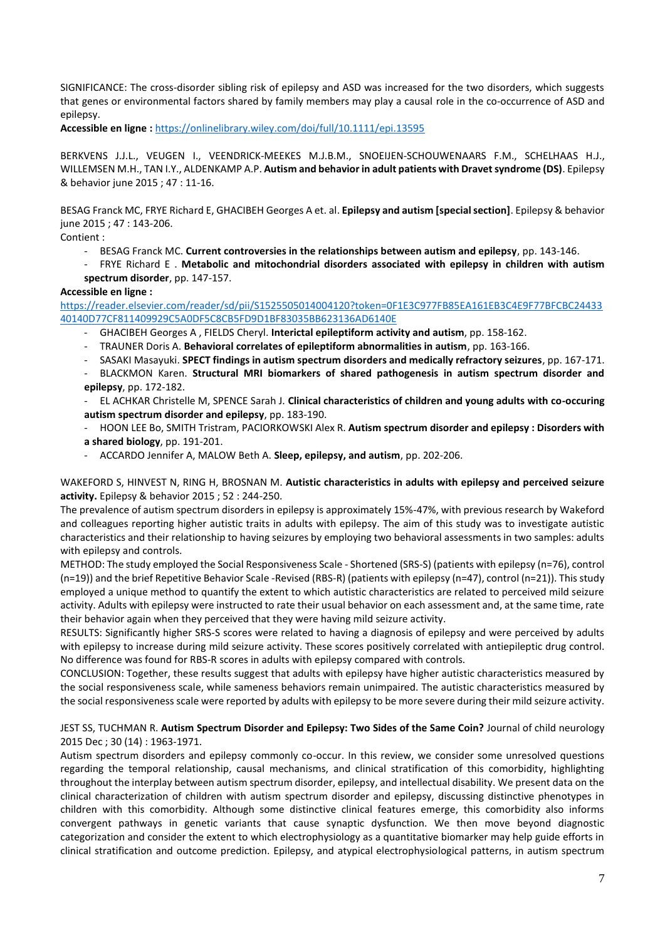SIGNIFICANCE: The cross-disorder sibling risk of epilepsy and ASD was increased for the two disorders, which suggests that genes or environmental factors shared by family members may play a causal role in the co-occurrence of ASD and epilepsy.

**Accessible en ligne :** <https://onlinelibrary.wiley.com/doi/full/10.1111/epi.13595>

BERKVENS J.J.L., VEUGEN I., VEENDRICK-MEEKES M.J.B.M., SNOEIJEN-SCHOUWENAARS F.M., SCHELHAAS H.J., WILLEMSEN M.H., TAN I.Y., ALDENKAMP A.P. **Autism and behavior in adult patients with Dravet syndrome (DS)**. Epilepsy & behavior june 2015 ; 47 : 11-16.

BESAG Franck MC, FRYE Richard E, GHACIBEH Georges A et. al. **Epilepsy and autism [special section]**. Epilepsy & behavior june 2015 ; 47 : 143-206.

Contient :

- BESAG Franck MC. **Current controversies in the relationships between autism and epilepsy**, pp. 143-146.

- FRYE Richard E . **Metabolic and mitochondrial disorders associated with epilepsy in children with autism spectrum disorder**, pp. 147-157.

#### **Accessible en ligne :**

[https://reader.elsevier.com/reader/sd/pii/S1525505014004120?token=0F1E3C977FB85EA161EB3C4E9F77BFCBC24433](https://reader.elsevier.com/reader/sd/pii/S1525505014004120?token=0F1E3C977FB85EA161EB3C4E9F77BFCBC2443340140D77CF811409929C5A0DF5C8CB5FD9D1BF83035BB623136AD6140E) [40140D77CF811409929C5A0DF5C8CB5FD9D1BF83035BB623136AD6140E](https://reader.elsevier.com/reader/sd/pii/S1525505014004120?token=0F1E3C977FB85EA161EB3C4E9F77BFCBC2443340140D77CF811409929C5A0DF5C8CB5FD9D1BF83035BB623136AD6140E)

- GHACIBEH Georges A , FIELDS Cheryl. **Interictal epileptiform activity and autism**, pp. 158-162.
- TRAUNER Doris A. **Behavioral correlates of epileptiform abnormalities in autism**, pp. 163-166.
- SASAKI Masayuki. **SPECT findings in autism spectrum disorders and medically refractory seizures**, pp. 167-171.

- BLACKMON Karen. **Structural MRI biomarkers of shared pathogenesis in autism spectrum disorder and epilepsy**, pp. 172-182.

- EL ACHKAR Christelle M, SPENCE Sarah J. **Clinical characteristics of children and young adults with co-occuring autism spectrum disorder and epilepsy**, pp. 183-190.

- HOON LEE Bo, SMITH Tristram, PACIORKOWSKI Alex R. **Autism spectrum disorder and epilepsy : Disorders with a shared biology**, pp. 191-201.
- ACCARDO Jennifer A, MALOW Beth A. **Sleep, epilepsy, and autism**, pp. 202-206.

WAKEFORD S, HINVEST N, RING H, BROSNAN M. **Autistic characteristics in adults with epilepsy and perceived seizure activity.** Epilepsy & behavior 2015 ; 52 : 244-250.

The prevalence of autism spectrum disorders in epilepsy is approximately 15%-47%, with previous research by Wakeford and colleagues reporting higher autistic traits in adults with epilepsy. The aim of this study was to investigate autistic characteristics and their relationship to having seizures by employing two behavioral assessments in two samples: adults with epilepsy and controls.

METHOD: The study employed the Social Responsiveness Scale - Shortened (SRS-S) (patients with epilepsy (n=76), control (n=19)) and the brief Repetitive Behavior Scale -Revised (RBS-R) (patients with epilepsy (n=47), control (n=21)). This study employed a unique method to quantify the extent to which autistic characteristics are related to perceived mild seizure activity. Adults with epilepsy were instructed to rate their usual behavior on each assessment and, at the same time, rate their behavior again when they perceived that they were having mild seizure activity.

RESULTS: Significantly higher SRS-S scores were related to having a diagnosis of epilepsy and were perceived by adults with epilepsy to increase during mild seizure activity. These scores positively correlated with antiepileptic drug control. No difference was found for RBS-R scores in adults with epilepsy compared with controls.

CONCLUSION: Together, these results suggest that adults with epilepsy have higher autistic characteristics measured by the social responsiveness scale, while sameness behaviors remain unimpaired. The autistic characteristics measured by the social responsiveness scale were reported by adults with epilepsy to be more severe during their mild seizure activity.

#### JEST SS, TUCHMAN R. **Autism Spectrum Disorder and Epilepsy: Two Sides of the Same Coin?** Journal of child neurology 2015 Dec ; 30 (14) : 1963-1971.

Autism spectrum disorders and epilepsy commonly co-occur. In this review, we consider some unresolved questions regarding the temporal relationship, causal mechanisms, and clinical stratification of this comorbidity, highlighting throughout the interplay between autism spectrum disorder, epilepsy, and intellectual disability. We present data on the clinical characterization of children with autism spectrum disorder and epilepsy, discussing distinctive phenotypes in children with this comorbidity. Although some distinctive clinical features emerge, this comorbidity also informs convergent pathways in genetic variants that cause synaptic dysfunction. We then move beyond diagnostic categorization and consider the extent to which electrophysiology as a quantitative biomarker may help guide efforts in clinical stratification and outcome prediction. Epilepsy, and atypical electrophysiological patterns, in autism spectrum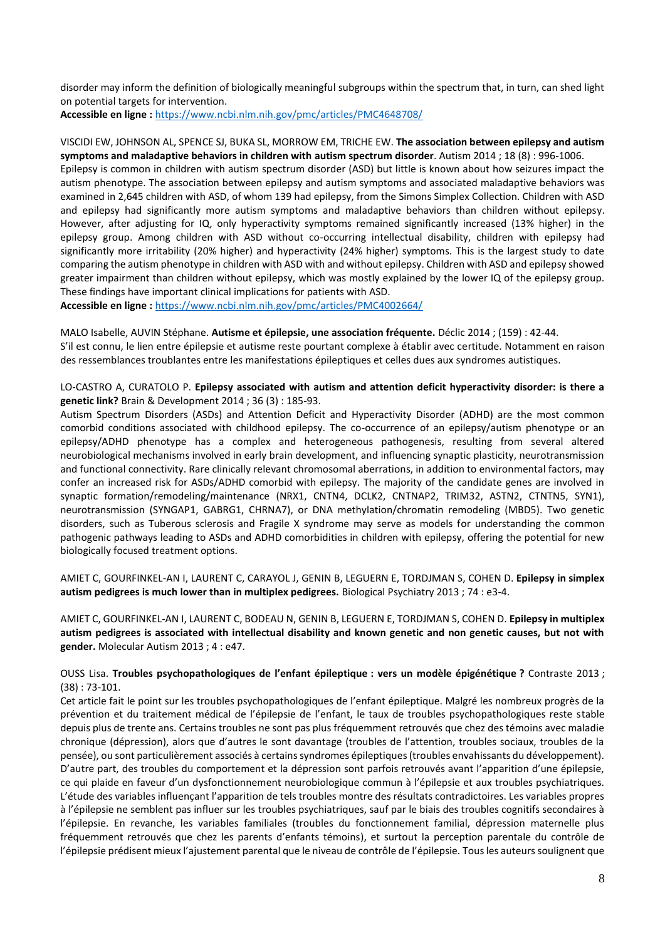disorder may inform the definition of biologically meaningful subgroups within the spectrum that, in turn, can shed light on potential targets for intervention.

**Accessible en ligne :** <https://www.ncbi.nlm.nih.gov/pmc/articles/PMC4648708/>

#### VISCIDI EW, JOHNSON AL, SPENCE SJ, BUKA SL, MORROW EM, TRICHE EW. **The association between epilepsy and autism symptoms and maladaptive behaviors in children with autism spectrum disorder**. Autism 2014 ; 18 (8) : 996-1006.

Epilepsy is common in children with autism spectrum disorder (ASD) but little is known about how seizures impact the autism phenotype. The association between epilepsy and autism symptoms and associated maladaptive behaviors was examined in 2,645 children with ASD, of whom 139 had epilepsy, from the Simons Simplex Collection. Children with ASD and epilepsy had significantly more autism symptoms and maladaptive behaviors than children without epilepsy. However, after adjusting for IQ, only hyperactivity symptoms remained significantly increased (13% higher) in the epilepsy group. Among children with ASD without co-occurring intellectual disability, children with epilepsy had significantly more irritability (20% higher) and hyperactivity (24% higher) symptoms. This is the largest study to date comparing the autism phenotype in children with ASD with and without epilepsy. Children with ASD and epilepsy showed greater impairment than children without epilepsy, which was mostly explained by the lower IQ of the epilepsy group. These findings have important clinical implications for patients with ASD.

**Accessible en ligne :** <https://www.ncbi.nlm.nih.gov/pmc/articles/PMC4002664/>

MALO Isabelle, AUVIN Stéphane. **Autisme et épilepsie, une association fréquente.** Déclic 2014 ; (159) : 42-44. S'il est connu, le lien entre épilepsie et autisme reste pourtant complexe à établir avec certitude. Notamment en raison des ressemblances troublantes entre les manifestations épileptiques et celles dues aux syndromes autistiques.

#### LO-CASTRO A, CURATOLO P. **Epilepsy associated with autism and attention deficit hyperactivity disorder: is there a genetic link?** Brain & Development 2014 ; 36 (3) : 185-93.

Autism Spectrum Disorders (ASDs) and Attention Deficit and Hyperactivity Disorder (ADHD) are the most common comorbid conditions associated with childhood epilepsy. The co-occurrence of an epilepsy/autism phenotype or an epilepsy/ADHD phenotype has a complex and heterogeneous pathogenesis, resulting from several altered neurobiological mechanisms involved in early brain development, and influencing synaptic plasticity, neurotransmission and functional connectivity. Rare clinically relevant chromosomal aberrations, in addition to environmental factors, may confer an increased risk for ASDs/ADHD comorbid with epilepsy. The majority of the candidate genes are involved in synaptic formation/remodeling/maintenance (NRX1, CNTN4, DCLK2, CNTNAP2, TRIM32, ASTN2, CTNTN5, SYN1), neurotransmission (SYNGAP1, GABRG1, CHRNA7), or DNA methylation/chromatin remodeling (MBD5). Two genetic disorders, such as Tuberous sclerosis and Fragile X syndrome may serve as models for understanding the common pathogenic pathways leading to ASDs and ADHD comorbidities in children with epilepsy, offering the potential for new biologically focused treatment options.

AMIET C, GOURFINKEL-AN I, LAURENT C, CARAYOL J, GENIN B, LEGUERN E, TORDJMAN S, COHEN D. **Epilepsy in simplex autism pedigrees is much lower than in multiplex pedigrees.** Biological Psychiatry 2013 ; 74 : e3-4.

#### AMIET C, GOURFINKEL-AN I, LAURENT C, BODEAU N, GENIN B, LEGUERN E, TORDJMAN S, COHEN D. **Epilepsy in multiplex autism pedigrees is associated with intellectual disability and known genetic and non genetic causes, but not with gender.** Molecular Autism 2013 ; 4 : e47.

#### OUSS Lisa. **Troubles psychopathologiques de l'enfant épileptique : vers un modèle épigénétique ?** Contraste 2013 ; (38) : 73-101.

Cet article fait le point sur les troubles psychopathologiques de l'enfant épileptique. Malgré les nombreux progrès de la prévention et du traitement médical de l'épilepsie de l'enfant, le taux de troubles psychopathologiques reste stable depuis plus de trente ans. Certains troubles ne sont pas plus fréquemment retrouvés que chez des témoins avec maladie chronique (dépression), alors que d'autres le sont davantage (troubles de l'attention, troubles sociaux, troubles de la pensée), ou sont particulièrement associés à certains syndromes épileptiques (troubles envahissants du développement). D'autre part, des troubles du comportement et la dépression sont parfois retrouvés avant l'apparition d'une épilepsie, ce qui plaide en faveur d'un dysfonctionnement neurobiologique commun à l'épilepsie et aux troubles psychiatriques. L'étude des variables influençant l'apparition de tels troubles montre des résultats contradictoires. Les variables propres à l'épilepsie ne semblent pas influer sur les troubles psychiatriques, sauf par le biais des troubles cognitifs secondaires à l'épilepsie. En revanche, les variables familiales (troubles du fonctionnement familial, dépression maternelle plus fréquemment retrouvés que chez les parents d'enfants témoins), et surtout la perception parentale du contrôle de l'épilepsie prédisent mieux l'ajustement parental que le niveau de contrôle de l'épilepsie. Tous les auteurs soulignent que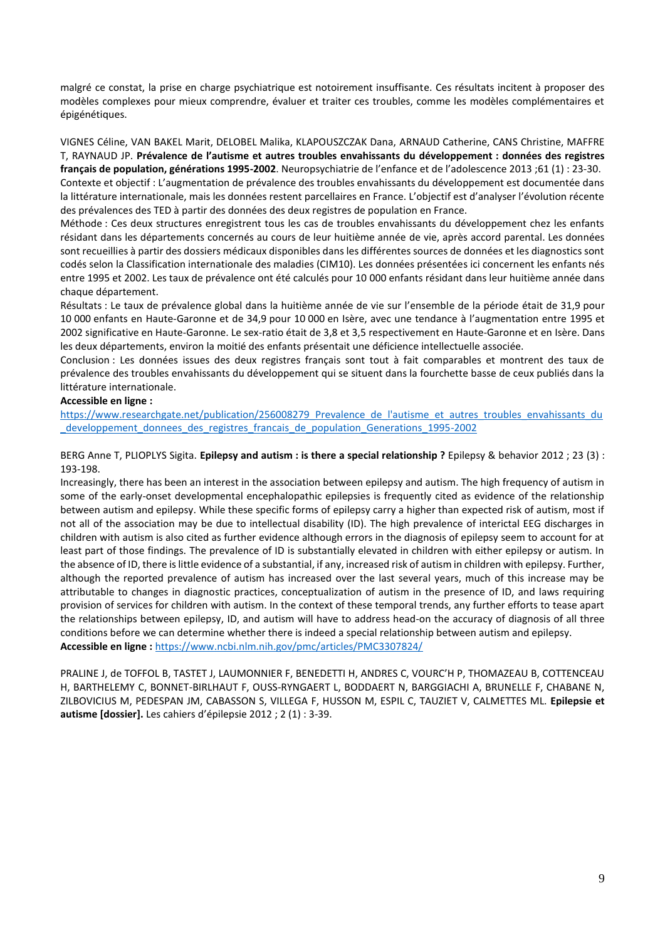malgré ce constat, la prise en charge psychiatrique est notoirement insuffisante. Ces résultats incitent à proposer des modèles complexes pour mieux comprendre, évaluer et traiter ces troubles, comme les modèles complémentaires et épigénétiques.

VIGNES Céline, VAN BAKEL Marit, DELOBEL Malika, KLAPOUSZCZAK Dana, ARNAUD Catherine, CANS Christine, MAFFRE T, RAYNAUD JP. **Prévalence de l'autisme et autres troubles envahissants du développement : données des registres français de population, générations 1995-2002**. Neuropsychiatrie de l'enfance et de l'adolescence 2013 ;61 (1) : 23-30. Contexte et objectif : L'augmentation de prévalence des troubles envahissants du développement est documentée dans

la littérature internationale, mais les données restent parcellaires en France. L'objectif est d'analyser l'évolution récente des prévalences des TED à partir des données des deux registres de population en France.

Méthode : Ces deux structures enregistrent tous les cas de troubles envahissants du développement chez les enfants résidant dans les départements concernés au cours de leur huitième année de vie, après accord parental. Les données sont recueillies à partir des dossiers médicaux disponibles dans les différentes sources de données et les diagnostics sont codés selon la Classification internationale des maladies (CIM10). Les données présentées ici concernent les enfants nés entre 1995 et 2002. Les taux de prévalence ont été calculés pour 10 000 enfants résidant dans leur huitième année dans chaque département.

Résultats : Le taux de prévalence global dans la huitième année de vie sur l'ensemble de la période était de 31,9 pour 10 000 enfants en Haute-Garonne et de 34,9 pour 10 000 en Isère, avec une tendance à l'augmentation entre 1995 et 2002 significative en Haute-Garonne. Le sex-ratio était de 3,8 et 3,5 respectivement en Haute-Garonne et en Isère. Dans les deux départements, environ la moitié des enfants présentait une déficience intellectuelle associée.

Conclusion : Les données issues des deux registres français sont tout à fait comparables et montrent des taux de prévalence des troubles envahissants du développement qui se situent dans la fourchette basse de ceux publiés dans la littérature internationale.

#### **Accessible en ligne :**

https://www.researchgate.net/publication/256008279 Prevalence de l'autisme et autres troubles envahissants du [\\_developpement\\_donnees\\_des\\_registres\\_francais\\_de\\_population\\_Generations\\_1995-2002](https://www.researchgate.net/publication/256008279_Prevalence_de_l)

#### BERG Anne T, PLIOPLYS Sigita. **Epilepsy and autism : is there a special relationship ?** Epilepsy & behavior 2012 ; 23 (3) : 193-198.

Increasingly, there has been an interest in the association between epilepsy and autism. The high frequency of autism in some of the early-onset developmental encephalopathic epilepsies is frequently cited as evidence of the relationship between autism and epilepsy. While these specific forms of epilepsy carry a higher than expected risk of autism, most if not all of the association may be due to intellectual disability (ID). The high prevalence of interictal EEG discharges in children with autism is also cited as further evidence although errors in the diagnosis of epilepsy seem to account for at least part of those findings. The prevalence of ID is substantially elevated in children with either epilepsy or autism. In the absence of ID, there is little evidence of a substantial, if any, increased risk of autism in children with epilepsy. Further, although the reported prevalence of autism has increased over the last several years, much of this increase may be attributable to changes in diagnostic practices, conceptualization of autism in the presence of ID, and laws requiring provision of services for children with autism. In the context of these temporal trends, any further efforts to tease apart the relationships between epilepsy, ID, and autism will have to address head-on the accuracy of diagnosis of all three conditions before we can determine whether there is indeed a special relationship between autism and epilepsy. **Accessible en ligne :** <https://www.ncbi.nlm.nih.gov/pmc/articles/PMC3307824/>

PRALINE J, de TOFFOL B, TASTET J, LAUMONNIER F, BENEDETTI H, ANDRES C, VOURC'H P, THOMAZEAU B, COTTENCEAU H, BARTHELEMY C, BONNET-BIRLHAUT F, OUSS-RYNGAERT L, BODDAERT N, BARGGIACHI A, BRUNELLE F, CHABANE N, ZILBOVICIUS M, PEDESPAN JM, CABASSON S, VILLEGA F, HUSSON M, ESPIL C, TAUZIET V, CALMETTES ML. **Epilepsie et autisme [dossier].** Les cahiers d'épilepsie 2012 ; 2 (1) : 3-39.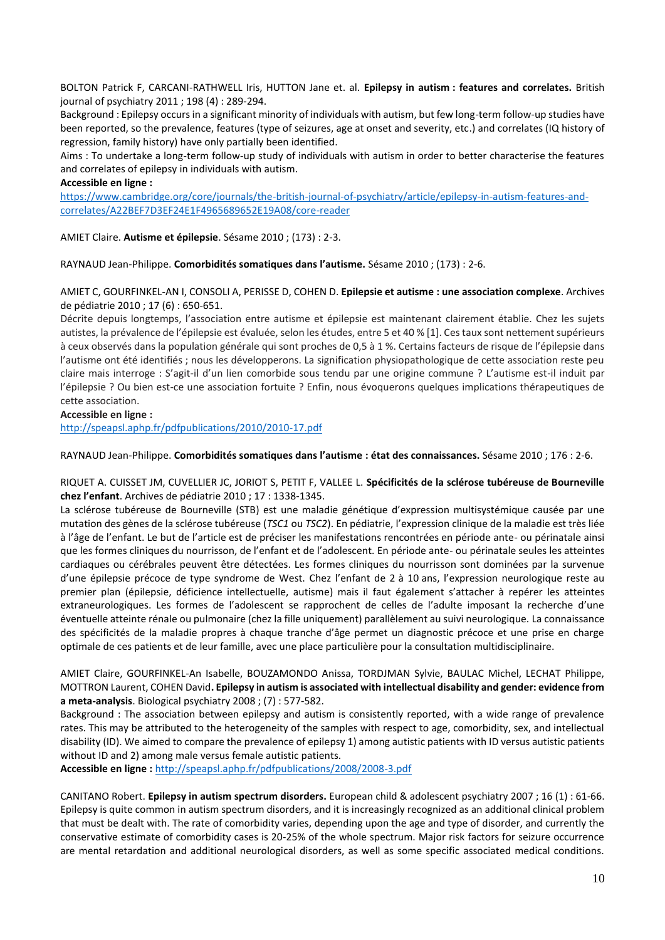BOLTON Patrick F, CARCANI-RATHWELL Iris, HUTTON Jane et. al. **Epilepsy in autism : features and correlates.** British journal of psychiatry 2011 ; 198 (4) : 289-294.

Background : Epilepsy occurs in a significant minority of individuals with autism, but few long-term follow-up studies have been reported, so the prevalence, features (type of seizures, age at onset and severity, etc.) and correlates (IQ history of regression, family history) have only partially been identified.

Aims : To undertake a long-term follow-up study of individuals with autism in order to better characterise the features and correlates of epilepsy in individuals with autism.

#### **Accessible en ligne :**

[https://www.cambridge.org/core/journals/the-british-journal-of-psychiatry/article/epilepsy-in-autism-features-and](https://www.cambridge.org/core/journals/the-british-journal-of-psychiatry/article/epilepsy-in-autism-features-and-correlates/A22BEF7D3EF24E1F4965689652E19A08/core-reader)[correlates/A22BEF7D3EF24E1F4965689652E19A08/core-reader](https://www.cambridge.org/core/journals/the-british-journal-of-psychiatry/article/epilepsy-in-autism-features-and-correlates/A22BEF7D3EF24E1F4965689652E19A08/core-reader)

AMIET Claire. **Autisme et épilepsie**. Sésame 2010 ; (173) : 2-3.

RAYNAUD Jean-Philippe. **Comorbidités somatiques dans l'autisme.** Sésame 2010 ; (173) : 2-6.

#### AMIET C, GOURFINKEL-AN I, CONSOLI A, PERISSE D, COHEN D. **Epilepsie et autisme : une association complexe**. Archives de pédiatrie 2010 ; 17 (6) : 650-651.

Décrite depuis longtemps, l'association entre autisme et épilepsie est maintenant clairement établie. Chez les sujets autistes, la prévalence de l'épilepsie est évaluée, selon les études, entre 5 et 40 % [1]. Ces taux sont nettement supérieurs à ceux observés dans la population générale qui sont proches de 0,5 à 1 %. Certains facteurs de risque de l'épilepsie dans l'autisme ont été identifiés ; nous les développerons. La signification physiopathologique de cette association reste peu claire mais interroge : S'agit-il d'un lien comorbide sous tendu par une origine commune ? L'autisme est-il induit par l'épilepsie ? Ou bien est-ce une association fortuite ? Enfin, nous évoquerons quelques implications thérapeutiques de cette association.

**Accessible en ligne :**

<http://speapsl.aphp.fr/pdfpublications/2010/2010-17.pdf>

RAYNAUD Jean-Philippe. **Comorbidités somatiques dans l'autisme : état des connaissances.** Sésame 2010 ; 176 : 2-6.

#### RIQUET A. CUISSET JM, CUVELLIER JC, JORIOT S, PETIT F, VALLEE L. **Spécificités de la sclérose tubéreuse de Bourneville chez l'enfant**. Archives de pédiatrie 2010 ; 17 : 1338-1345.

La sclérose tubéreuse de Bourneville (STB) est une maladie génétique d'expression multisystémique causée par une mutation des gènes de la sclérose tubéreuse (*TSC1* ou *TSC2*). En pédiatrie, l'expression clinique de la maladie est très liée à l'âge de l'enfant. Le but de l'article est de préciser les manifestations rencontrées en période ante- ou périnatale ainsi que les formes cliniques du nourrisson, de l'enfant et de l'adolescent. En période ante- ou périnatale seules les atteintes cardiaques ou cérébrales peuvent être détectées. Les formes cliniques du nourrisson sont dominées par la survenue d'une épilepsie précoce de type syndrome de West. Chez l'enfant de 2 à 10 ans, l'expression neurologique reste au premier plan (épilepsie, déficience intellectuelle, autisme) mais il faut également s'attacher à repérer les atteintes extraneurologiques. Les formes de l'adolescent se rapprochent de celles de l'adulte imposant la recherche d'une éventuelle atteinte rénale ou pulmonaire (chez la fille uniquement) parallèlement au suivi neurologique. La connaissance des spécificités de la maladie propres à chaque tranche d'âge permet un diagnostic précoce et une prise en charge optimale de ces patients et de leur famille, avec une place particulière pour la consultation multidisciplinaire.

#### AMIET Claire, GOURFINKEL-An Isabelle, BOUZAMONDO Anissa, TORDJMAN Sylvie, BAULAC Michel, LECHAT Philippe, MOTTRON Laurent, COHEN David**. Epilepsy in autism is associated with intellectual disability and gender: evidence from a meta-analysis**. Biological psychiatry 2008 ; (7) : 577-582.

Background : The association between epilepsy and autism is consistently reported, with a wide range of prevalence rates. This may be attributed to the heterogeneity of the samples with respect to age, comorbidity, sex, and intellectual disability (ID). We aimed to compare the prevalence of epilepsy 1) among autistic patients with ID versus autistic patients without ID and 2) among male versus female autistic patients.

**Accessible en ligne :** <http://speapsl.aphp.fr/pdfpublications/2008/2008-3.pdf>

CANITANO Robert. **Epilepsy in autism spectrum disorders.** European child & adolescent psychiatry 2007 ; 16 (1) : 61-66. Epilepsy is quite common in autism spectrum disorders, and it is increasingly recognized as an additional clinical problem that must be dealt with. The rate of comorbidity varies, depending upon the age and type of disorder, and currently the conservative estimate of comorbidity cases is 20-25% of the whole spectrum. Major risk factors for seizure occurrence are mental retardation and additional neurological disorders, as well as some specific associated medical conditions.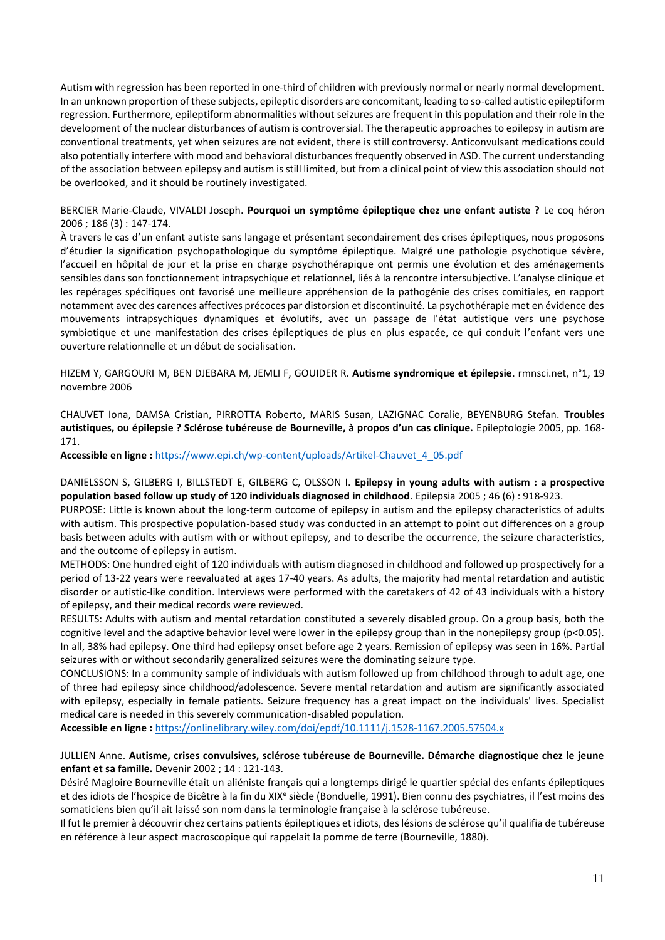Autism with regression has been reported in one-third of children with previously normal or nearly normal development. In an unknown proportion of these subjects, epileptic disorders are concomitant, leading to so-called autistic epileptiform regression. Furthermore, epileptiform abnormalities without seizures are frequent in this population and their role in the development of the nuclear disturbances of autism is controversial. The therapeutic approaches to epilepsy in autism are conventional treatments, yet when seizures are not evident, there is still controversy. Anticonvulsant medications could also potentially interfere with mood and behavioral disturbances frequently observed in ASD. The current understanding of the association between epilepsy and autism is still limited, but from a clinical point of view this association should not be overlooked, and it should be routinely investigated.

BERCIER Marie-Claude, VIVALDI Joseph. **Pourquoi un symptôme épileptique chez une enfant autiste ?** Le coq héron 2006 ; 186 (3) : 147-174.

À travers le cas d'un enfant autiste sans langage et présentant secondairement des crises épileptiques, nous proposons d'étudier la signification psychopathologique du symptôme épileptique. Malgré une pathologie psychotique sévère, l'accueil en hôpital de jour et la prise en charge psychothérapique ont permis une évolution et des aménagements sensibles dans son fonctionnement intrapsychique et relationnel, liés à la rencontre intersubjective. L'analyse clinique et les repérages spécifiques ont favorisé une meilleure appréhension de la pathogénie des crises comitiales, en rapport notamment avec des carences affectives précoces par distorsion et discontinuité. La psychothérapie met en évidence des mouvements intrapsychiques dynamiques et évolutifs, avec un passage de l'état autistique vers une psychose symbiotique et une manifestation des crises épileptiques de plus en plus espacée, ce qui conduit l'enfant vers une ouverture relationnelle et un début de socialisation.

HIZEM Y, GARGOURI M, BEN DJEBARA M, JEMLI F, GOUIDER R. **Autisme syndromique et épilepsie**. rmnsci.net, n°1, 19 novembre 2006

CHAUVET Iona, DAMSA Cristian, PIRROTTA Roberto, MARIS Susan, LAZIGNAC Coralie, BEYENBURG Stefan. **Troubles autistiques, ou épilepsie ? Sclérose tubéreuse de Bourneville, à propos d'un cas clinique.** Epileptologie 2005, pp. 168- 171.

**Accessible en ligne :** [https://www.epi.ch/wp-content/uploads/Artikel-Chauvet\\_4\\_05.pdf](https://www.epi.ch/wp-content/uploads/Artikel-Chauvet_4_05.pdf)

DANIELSSON S, GILBERG I, BILLSTEDT E, GILBERG C, OLSSON I. **Epilepsy in young adults with autism : a prospective population based follow up study of 120 individuals diagnosed in childhood**. Epilepsia 2005 ; 46 (6) : 918-923.

PURPOSE: Little is known about the long-term outcome of epilepsy in autism and the epilepsy characteristics of adults with autism. This prospective population-based study was conducted in an attempt to point out differences on a group basis between adults with autism with or without epilepsy, and to describe the occurrence, the seizure characteristics, and the outcome of epilepsy in autism.

METHODS: One hundred eight of 120 individuals with autism diagnosed in childhood and followed up prospectively for a period of 13-22 years were reevaluated at ages 17-40 years. As adults, the majority had mental retardation and autistic disorder or autistic-like condition. Interviews were performed with the caretakers of 42 of 43 individuals with a history of epilepsy, and their medical records were reviewed.

RESULTS: Adults with autism and mental retardation constituted a severely disabled group. On a group basis, both the cognitive level and the adaptive behavior level were lower in the epilepsy group than in the nonepilepsy group (p<0.05). In all, 38% had epilepsy. One third had epilepsy onset before age 2 years. Remission of epilepsy was seen in 16%. Partial seizures with or without secondarily generalized seizures were the dominating seizure type.

CONCLUSIONS: In a community sample of individuals with autism followed up from childhood through to adult age, one of three had epilepsy since childhood/adolescence. Severe mental retardation and autism are significantly associated with epilepsy, especially in female patients. Seizure frequency has a great impact on the individuals' lives. Specialist medical care is needed in this severely communication-disabled population.

**Accessible en ligne :** <https://onlinelibrary.wiley.com/doi/epdf/10.1111/j.1528-1167.2005.57504.x>

#### JULLIEN Anne. **Autisme, crises convulsives, sclérose tubéreuse de Bourneville. Démarche diagnostique chez le jeune enfant et sa famille.** Devenir 2002 ; 14 : 121-143.

Désiré Magloire Bourneville était un aliéniste français qui a longtemps dirigé le quartier spécial des enfants épileptiques et des idiots de l'hospice de Bicêtre à la fin du XIX<sup>e</sup> siècle (Bonduelle, 1991). Bien connu des psychiatres, il l'est moins des somaticiens bien qu'il ait laissé son nom dans la terminologie française à la sclérose tubéreuse.

Il fut le premier à découvrir chez certains patients épileptiques et idiots, des lésions de sclérose qu'il qualifia de tubéreuse en référence à leur aspect macroscopique qui rappelait la pomme de terre (Bourneville, 1880).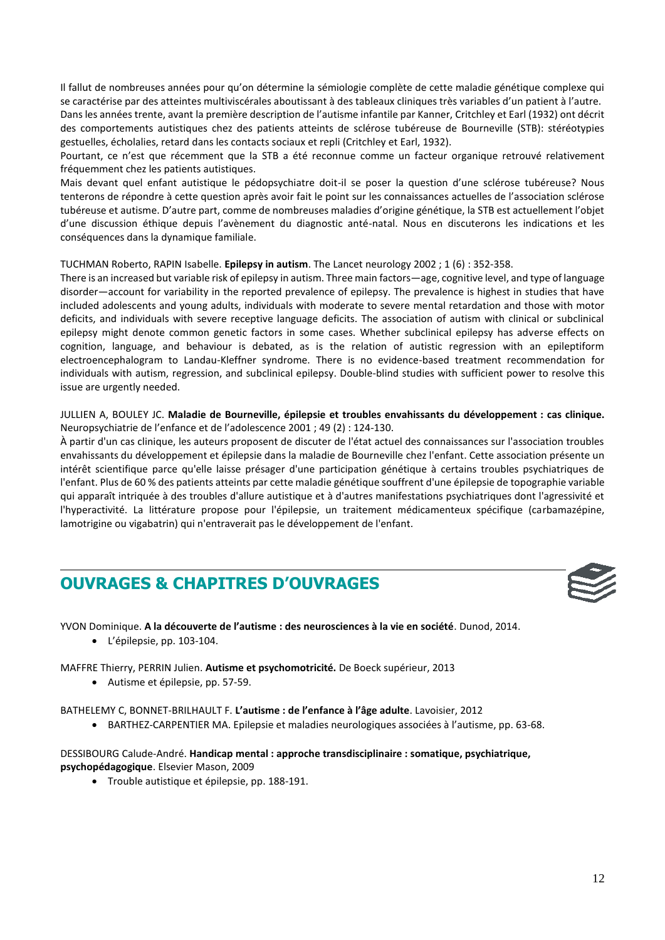Il fallut de nombreuses années pour qu'on détermine la sémiologie complète de cette maladie génétique complexe qui se caractérise par des atteintes multiviscérales aboutissant à des tableaux cliniques très variables d'un patient à l'autre.

Dans les années trente, avant la première description de l'autisme infantile par Kanner, Critchley et Earl (1932) ont décrit des comportements autistiques chez des patients atteints de sclérose tubéreuse de Bourneville (STB): stéréotypies gestuelles, écholalies, retard dans les contacts sociaux et repli (Critchley et Earl, 1932).

Pourtant, ce n'est que récemment que la STB a été reconnue comme un facteur organique retrouvé relativement fréquemment chez les patients autistiques.

Mais devant quel enfant autistique le pédopsychiatre doit-il se poser la question d'une sclérose tubéreuse? Nous tenterons de répondre à cette question après avoir fait le point sur les connaissances actuelles de l'association sclérose tubéreuse et autisme. D'autre part, comme de nombreuses maladies d'origine génétique, la STB est actuellement l'objet d'une discussion éthique depuis l'avènement du diagnostic anté-natal. Nous en discuterons les indications et les conséquences dans la dynamique familiale.

TUCHMAN Roberto, RAPIN Isabelle. **Epilepsy in autism**. The Lancet neurology 2002 ; 1 (6) : 352-358.

There is an increased but variable risk of epilepsy in autism. Three main factors—age, cognitive level, and type of language disorder—account for variability in the reported prevalence of epilepsy. The prevalence is highest in studies that have included adolescents and young adults, individuals with moderate to severe mental retardation and those with motor deficits, and individuals with severe receptive language deficits. The association of autism with clinical or subclinical epilepsy might denote common genetic factors in some cases. Whether subclinical epilepsy has adverse effects on cognition, language, and behaviour is debated, as is the relation of autistic regression with an epileptiform electroencephalogram to Landau-Kleffner syndrome. There is no evidence-based treatment recommendation for individuals with autism, regression, and subclinical epilepsy. Double-blind studies with sufficient power to resolve this issue are urgently needed.

JULLIEN A, BOULEY JC. **Maladie de Bourneville, épilepsie et troubles envahissants du développement : cas clinique.** Neuropsychiatrie de l'enfance et de l'adolescence 2001 ; 49 (2) : 124-130.

À partir d'un cas clinique, les auteurs proposent de discuter de l'état actuel des connaissances sur l'association troubles envahissants du développement et épilepsie dans la maladie de Bourneville chez l'enfant. Cette association présente un intérêt scientifique parce qu'elle laisse présager d'une participation génétique à certains troubles psychiatriques de l'enfant. Plus de 60 % des patients atteints par cette maladie génétique souffrent d'une épilepsie de topographie variable qui apparaît intriquée à des troubles d'allure autistique et à d'autres manifestations psychiatriques dont l'agressivité et l'hyperactivité. La littérature propose pour l'épilepsie, un traitement médicamenteux spécifique (carbamazépine, lamotrigine ou vigabatrin) qui n'entraverait pas le développement de l'enfant.

### <span id="page-11-0"></span>**OUVRAGES & CHAPITRES D'OUVRAGES**



YVON Dominique. **A la découverte de l'autisme : des neurosciences à la vie en société**. Dunod, 2014.

L'épilepsie, pp. 103-104.

MAFFRE Thierry, PERRIN Julien. **Autisme et psychomotricité.** De Boeck supérieur, 2013

Autisme et épilepsie, pp. 57-59.

BATHELEMY C, BONNET-BRILHAULT F. **L'autisme : de l'enfance à l'âge adulte**. Lavoisier, 2012

BARTHEZ-CARPENTIER MA. Epilepsie et maladies neurologiques associées à l'autisme, pp. 63-68.

DESSIBOURG Calude-André. **Handicap mental : approche transdisciplinaire : somatique, psychiatrique, psychopédagogique**. Elsevier Mason, 2009

Trouble autistique et épilepsie, pp. 188-191.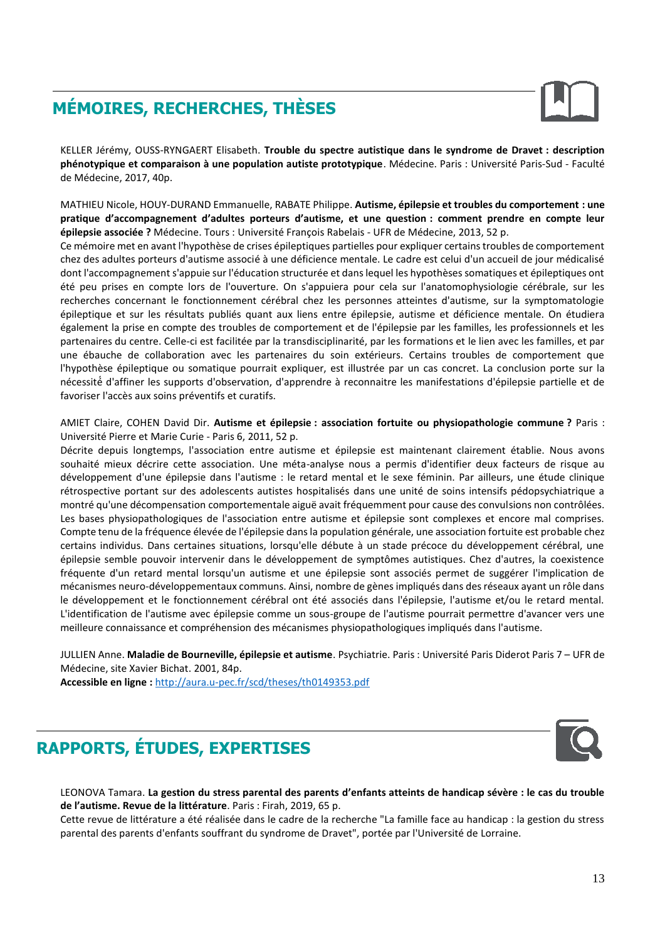## <span id="page-12-0"></span>**MÉMOIRES, RECHERCHES, THÈSES**



KELLER Jérémy, OUSS-RYNGAERT Elisabeth. **Trouble du spectre autistique dans le syndrome de Dravet : description phénotypique et comparaison à une population autiste prototypique**. Médecine. Paris : Université Paris-Sud - Faculté de Médecine, 2017, 40p.

MATHIEU Nicole, HOUY-DURAND Emmanuelle, RABATE Philippe. **Autisme, épilepsie et troubles du comportement : une pratique d'accompagnement d'adultes porteurs d'autisme, et une question : comment prendre en compte leur épilepsie associée ?** Médecine. Tours : Université François Rabelais - UFR de Médecine, 2013, 52 p.

Ce mémoire met en avant l'hypothèse de crises épileptiques partielles pour expliquer certains troubles de comportement chez des adultes porteurs d'autisme associé à une déficience mentale. Le cadre est celui d'un accueil de jour médicalisé dont l'accompagnement s'appuie sur l'éducation structurée et dans lequel les hypothèses somatiques et épileptiques ont été peu prises en compte lors de l'ouverture. On s'appuiera pour cela sur l'anatomophysiologie cérébrale, sur les recherches concernant le fonctionnement cérébral chez les personnes atteintes d'autisme, sur la symptomatologie épileptique et sur les résultats publiés quant aux liens entre épilepsie, autisme et déficience mentale. On étudiera également la prise en compte des troubles de comportement et de l'épilepsie par les familles, les professionnels et les partenaires du centre. Celle-ci est facilitée par la transdisciplinarité, par les formations et le lien avec les familles, et par une ébauche de collaboration avec les partenaires du soin extérieurs. Certains troubles de comportement que l'hypothèse épileptique ou somatique pourrait expliquer, est illustrée par un cas concret. La conclusion porte sur la nécessité́d'affiner les supports d'observation, d'apprendre à reconnaitre les manifestations d'épilepsie partielle et de favoriser l'accès aux soins préventifs et curatifs.

AMIET Claire, COHEN David Dir. **Autisme et épilepsie : association fortuite ou physiopathologie commune ?** Paris : Université Pierre et Marie Curie - Paris 6, 2011, 52 p.

Décrite depuis longtemps, l'association entre autisme et épilepsie est maintenant clairement établie. Nous avons souhaité mieux décrire cette association. Une méta-analyse nous a permis d'identifier deux facteurs de risque au développement d'une épilepsie dans l'autisme : le retard mental et le sexe féminin. Par ailleurs, une étude clinique rétrospective portant sur des adolescents autistes hospitalisés dans une unité de soins intensifs pédopsychiatrique a montré qu'une décompensation comportementale aiguë avait fréquemment pour cause des convulsions non contrôlées. Les bases physiopathologiques de l'association entre autisme et épilepsie sont complexes et encore mal comprises. Compte tenu de la fréquence élevée de l'épilepsie dans la population générale, une association fortuite est probable chez certains individus. Dans certaines situations, lorsqu'elle débute à un stade précoce du développement cérébral, une épilepsie semble pouvoir intervenir dans le développement de symptômes autistiques. Chez d'autres, la coexistence fréquente d'un retard mental lorsqu'un autisme et une épilepsie sont associés permet de suggérer l'implication de mécanismes neuro-développementaux communs. Ainsi, nombre de gènes impliqués dans des réseaux ayant un rôle dans le développement et le fonctionnement cérébral ont été associés dans l'épilepsie, l'autisme et/ou le retard mental. L'identification de l'autisme avec épilepsie comme un sous-groupe de l'autisme pourrait permettre d'avancer vers une meilleure connaissance et compréhension des mécanismes physiopathologiques impliqués dans l'autisme.

JULLIEN Anne. **Maladie de Bourneville, épilepsie et autisme**. Psychiatrie. Paris : Université Paris Diderot Paris 7 – UFR de Médecine, site Xavier Bichat. 2001, 84p.

**Accessible en ligne :** <http://aura.u-pec.fr/scd/theses/th0149353.pdf>

# <span id="page-12-1"></span>**RAPPORTS, ÉTUDES, EXPERTISES**



LEONOVA Tamara. **La gestion du stress parental des parents d'enfants atteints de handicap sévère : le cas du trouble de l'autisme. Revue de la littérature**. Paris : Firah, 2019, 65 p.

Cette revue de littérature a été réalisée dans le cadre de la recherche "La famille face au handicap : la gestion du stress parental des parents d'enfants souffrant du syndrome de Dravet", portée par l'Université de Lorraine.